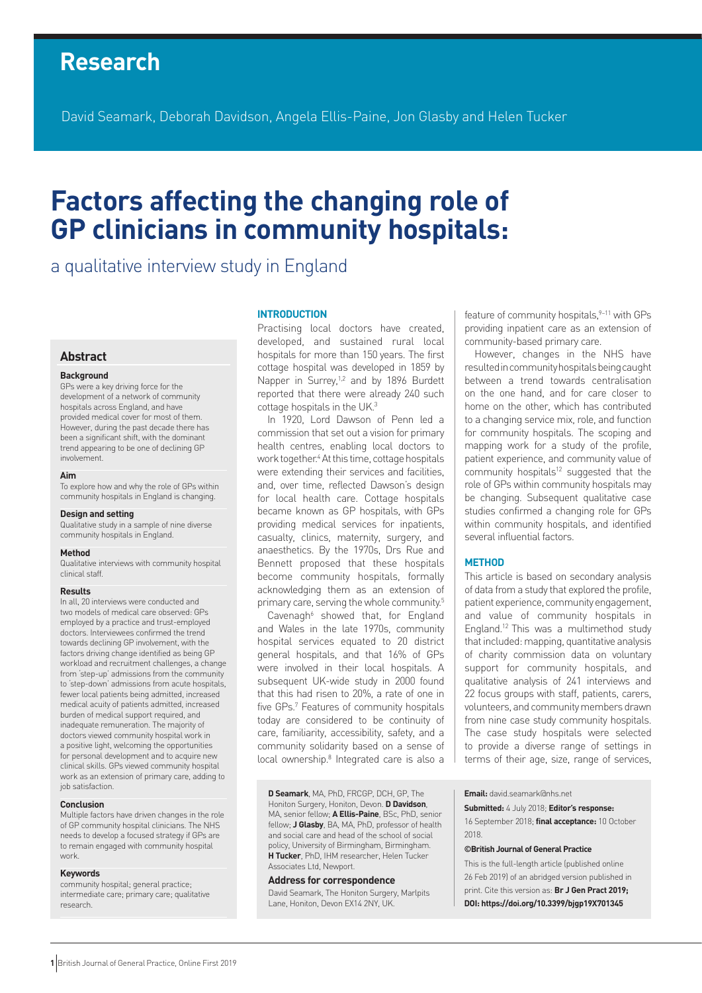# **Research**

David Seamark, Deborah Davidson, Angela Ellis-Paine, Jon Glasby and Helen Tucker

# **Factors affecting the changing role of GP clinicians in community hospitals:**

# a qualitative interview study in England

# **Abstract**

#### **Background**

GPs were a key driving force for the development of a network of community hospitals across England, and have provided medical cover for most of them. However, during the past decade there has been a significant shift, with the dominant trend appearing to be one of declining GP involvement.

#### **Aim**

To explore how and why the role of GPs within community hospitals in England is changing.

#### **Design and setting**

Qualitative study in a sample of nine diverse community hospitals in England.

#### **Method**

Qualitative interviews with community hospital clinical staff.

#### **Results**

In all, 20 interviews were conducted and two models of medical care observed: GPs employed by a practice and trust-employed doctors. Interviewees confirmed the trend towards declining GP involvement, with the factors driving change identified as being GP workload and recruitment challenges, a change from 'step-up' admissions from the community to 'step-down' admissions from acute hospitals, fewer local patients being admitted, increased medical acuity of patients admitted, increased burden of medical support required, and inadequate remuneration. The majority of doctors viewed community hospital work in a positive light, welcoming the opportunities for personal development and to acquire new clinical skills. GPs viewed community hospital work as an extension of primary care, adding to job satisfaction.

#### **Conclusion**

Multiple factors have driven changes in the role of GP community hospital clinicians. The NHS needs to develop a focused strategy if GPs are to remain engaged with community hospital work.

#### **Keywords**

community hospital; general practice; intermediate care; primary care; qualitative research.

#### **INTRODUCTION**

Practising local doctors have created, developed, and sustained rural local hospitals for more than 150 years. The first cottage hospital was developed in 1859 by Napper in Surrey,<sup>1,2</sup> and by 1896 Burdett reported that there were already 240 such cottage hospitals in the UK.3

In 1920, Lord Dawson of Penn led a commission that set out a vision for primary health centres, enabling local doctors to work together.4 At this time, cottage hospitals were extending their services and facilities, and, over time, reflected Dawson's design for local health care. Cottage hospitals became known as GP hospitals, with GPs providing medical services for inpatients, casualty, clinics, maternity, surgery, and anaesthetics. By the 1970s, Drs Rue and Bennett proposed that these hospitals become community hospitals, formally acknowledging them as an extension of primary care, serving the whole community.<sup>5</sup>

Cavenagh<sup>6</sup> showed that, for England and Wales in the late 1970s, community hospital services equated to 20 district general hospitals, and that 16% of GPs were involved in their local hospitals. A subsequent UK-wide study in 2000 found that this had risen to 20%, a rate of one in five GPs.7 Features of community hospitals today are considered to be continuity of care, familiarity, accessibility, safety, and a community solidarity based on a sense of local ownership.<sup>8</sup> Integrated care is also a

**D Seamark**, MA, PhD, FRCGP, DCH, GP, The Honiton Surgery, Honiton, Devon. **D Davidson**, MA, senior fellow; **A Ellis-Paine**, BSc, PhD, senior fellow; **J Glasby**, BA, MA, PhD, professor of health and social care and head of the school of social policy, University of Birmingham, Birmingham. **H Tucker**, PhD, IHM researcher, Helen Tucker Associates Ltd, Newport.

#### **Address for correspondence**

David Seamark, The Honiton Surgery, Marlpits Lane, Honiton, Devon EX14 2NY, UK.

feature of community hospitals,<sup>9-11</sup> with GPs providing inpatient care as an extension of community-based primary care.

However, changes in the NHS have resulted in community hospitals being caught between a trend towards centralisation on the one hand, and for care closer to home on the other, which has contributed to a changing service mix, role, and function for community hospitals. The scoping and mapping work for a study of the profile, patient experience, and community value of community hospitals $12$  suggested that the role of GPs within community hospitals may be changing. Subsequent qualitative case studies confirmed a changing role for GPs within community hospitals, and identified several influential factors.

#### **METHOD**

This article is based on secondary analysis of data from a study that explored the profile, patient experience, community engagement, and value of community hospitals in England.12 This was a multimethod study that included: mapping, quantitative analysis of charity commission data on voluntary support for community hospitals, and qualitative analysis of 241 interviews and 22 focus groups with staff, patients, carers, volunteers, and community members drawn from nine case study community hospitals. The case study hospitals were selected to provide a diverse range of settings in terms of their age, size, range of services,

**Email:** david.seamark@nhs.net

**Submitted:** 4 July 2018; **Editor's response:** 16 September 2018; **final acceptance:** 10 October 2018.

#### **©British Journal of General Practice**

This is the full-length article (published online 26 Feb 2019) of an abridged version published in print. Cite this version as: **Br J Gen Pract 2019; DOI: https://doi.org/10.3399/bjgp19X701345**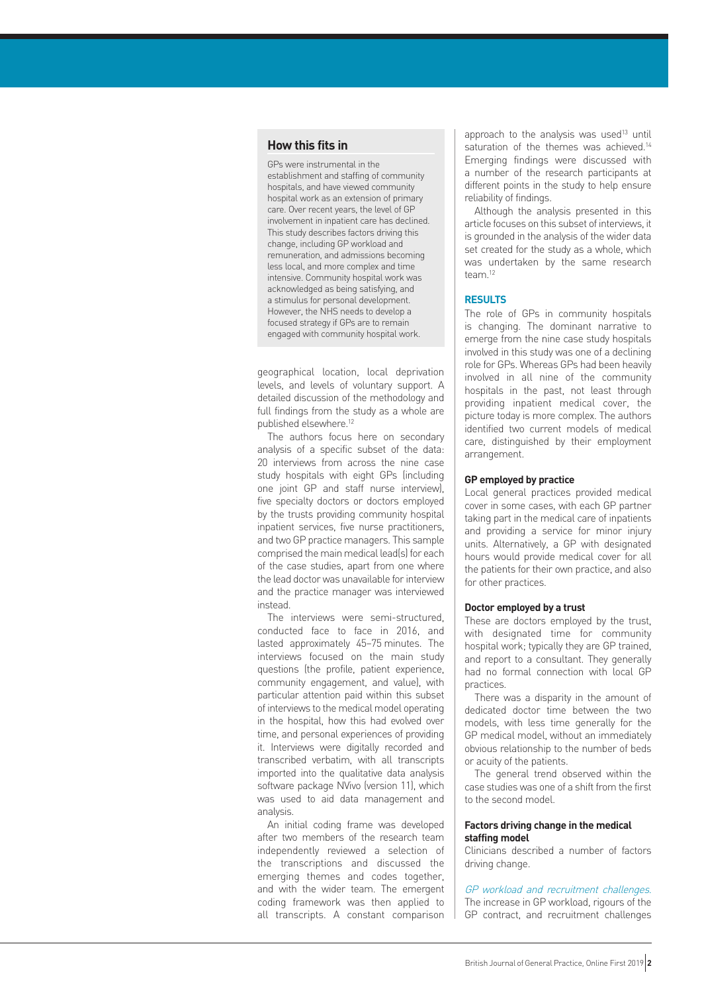# **How this fits in**

GPs were instrumental in the establishment and staffing of community hospitals, and have viewed community hospital work as an extension of primary care. Over recent years, the level of GP involvement in inpatient care has declined. This study describes factors driving this change, including GP workload and remuneration, and admissions becoming less local, and more complex and time intensive. Community hospital work was acknowledged as being satisfying, and a stimulus for personal development. However, the NHS needs to develop a focused strategy if GPs are to remain engaged with community hospital work.

geographical location, local deprivation levels, and levels of voluntary support. A detailed discussion of the methodology and full findings from the study as a whole are published elsewhere.12

The authors focus here on secondary analysis of a specific subset of the data: 20 interviews from across the nine case study hospitals with eight GPs (including one joint GP and staff nurse interview), five specialty doctors or doctors employed by the trusts providing community hospital inpatient services, five nurse practitioners, and two GP practice managers. This sample comprised the main medical lead(s) for each of the case studies, apart from one where the lead doctor was unavailable for interview and the practice manager was interviewed instead.

The interviews were semi-structured, conducted face to face in 2016, and lasted approximately 45–75 minutes. The interviews focused on the main study questions (the profile, patient experience, community engagement, and value), with particular attention paid within this subset of interviews to the medical model operating in the hospital, how this had evolved over time, and personal experiences of providing it. Interviews were digitally recorded and transcribed verbatim, with all transcripts imported into the qualitative data analysis software package NVivo (version 11), which was used to aid data management and analysis.

An initial coding frame was developed after two members of the research team independently reviewed a selection of the transcriptions and discussed the emerging themes and codes together, and with the wider team. The emergent coding framework was then applied to all transcripts. A constant comparison

approach to the analysis was used<sup>13</sup> until saturation of the themes was achieved.<sup>14</sup> Emerging findings were discussed with a number of the research participants at different points in the study to help ensure reliability of findings.

Although the analysis presented in this article focuses on this subset of interviews, it is grounded in the analysis of the wider data set created for the study as a whole, which was undertaken by the same research team.12

#### **RESULTS**

The role of GPs in community hospitals is changing. The dominant narrative to emerge from the nine case study hospitals involved in this study was one of a declining role for GPs. Whereas GPs had been heavily involved in all nine of the community hospitals in the past, not least through providing inpatient medical cover, the picture today is more complex. The authors identified two current models of medical care, distinguished by their employment arrangement.

### **GP employed by practice**

Local general practices provided medical cover in some cases, with each GP partner taking part in the medical care of inpatients and providing a service for minor injury units. Alternatively, a GP with designated hours would provide medical cover for all the patients for their own practice, and also for other practices.

#### **Doctor employed by a trust**

These are doctors employed by the trust, with designated time for community hospital work; typically they are GP trained, and report to a consultant. They generally had no formal connection with local GP practices.

There was a disparity in the amount of dedicated doctor time between the two models, with less time generally for the GP medical model, without an immediately obvious relationship to the number of beds or acuity of the patients.

The general trend observed within the case studies was one of a shift from the first to the second model.

#### **Factors driving change in the medical staffing model**

Clinicians described a number of factors driving change.

GP workload and recruitment challenges. The increase in GP workload, rigours of the GP contract, and recruitment challenges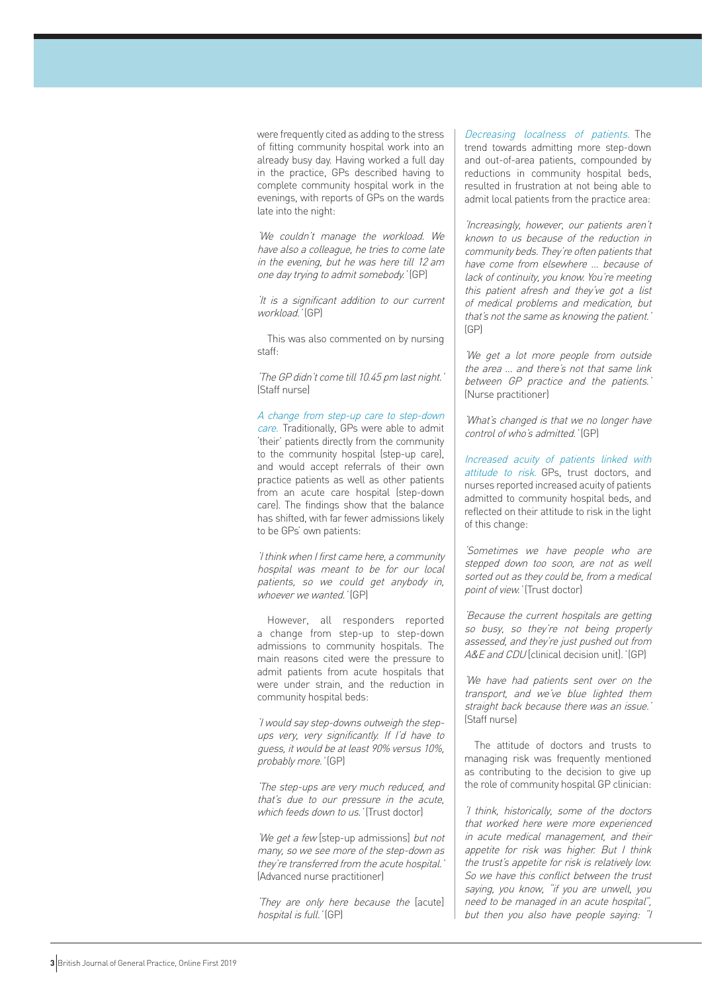were frequently cited as adding to the stress of fitting community hospital work into an already busy day. Having worked a full day in the practice, GPs described having to complete community hospital work in the evenings, with reports of GPs on the wards late into the night:

'We couldn't manage the workload. We have also a colleague, he tries to come late in the evening, but he was here till 12 am one day trying to admit somebody.' (GP)

'It is a significant addition to our current workload.' (GP)

This was also commented on by nursing staff:

'The GP didn't come till 10.45 pm last night.' (Staff nurse)

A change from step-up care to step-down care. Traditionally, GPs were able to admit 'their' patients directly from the community to the community hospital (step-up care), and would accept referrals of their own practice patients as well as other patients from an acute care hospital (step-down care). The findings show that the balance has shifted, with far fewer admissions likely to be GPs' own patients:

'I think when I first came here, a community hospital was meant to be for our local patients, so we could get anybody in, whoever we wanted.' (GP)

However, all responders reported a change from step-up to step-down admissions to community hospitals. The main reasons cited were the pressure to admit patients from acute hospitals that were under strain, and the reduction in community hospital beds:

'I would say step-downs outweigh the stepups very, very significantly. If I'd have to guess, it would be at least 90% versus 10%, probably more.' (GP)

'The step-ups are very much reduced, and that's due to our pressure in the acute, which feeds down to us.' (Trust doctor)

'We get a few [step-up admissions] but not many, so we see more of the step-down as they're transferred from the acute hospital.' (Advanced nurse practitioner)

'They are only here because the [acute] hospital is full.' (GP)

Decreasing localness of patients. The trend towards admitting more step-down and out-of-area patients, compounded by reductions in community hospital beds, resulted in frustration at not being able to admit local patients from the practice area:

'Increasingly, however, our patients aren't known to us because of the reduction in community beds. They're often patients that have come from elsewhere … because of lack of continuity, you know. You're meeting this patient afresh and they've got a list of medical problems and medication, but that's not the same as knowing the patient.' (GP)

'We get a lot more people from outside the area … and there's not that same link between GP practice and the patients.' (Nurse practitioner)

'What's changed is that we no longer have control of who's admitted.' (GP)

Increased acuity of patients linked with attitude to risk. GPs, trust doctors, and nurses reported increased acuity of patients admitted to community hospital beds, and reflected on their attitude to risk in the light of this change:

'Sometimes we have people who are stepped down too soon, are not as well sorted out as they could be, from a medical point of view.' (Trust doctor)

'Because the current hospitals are getting so busy, so they're not being properly assessed, and they're just pushed out from A&*E* and CDU clinical decision unit]. ' (GP)

'We have had patients sent over on the transport, and we've blue lighted them straight back because there was an issue.' (Staff nurse)

The attitude of doctors and trusts to managing risk was frequently mentioned as contributing to the decision to give up the role of community hospital GP clinician:

'I think, historically, some of the doctors that worked here were more experienced in acute medical management, and their appetite for risk was higher. But I think the trust's appetite for risk is relatively low. So we have this conflict between the trust saying, you know, "if you are unwell, you need to be managed in an acute hospital", but then you also have people saying: "I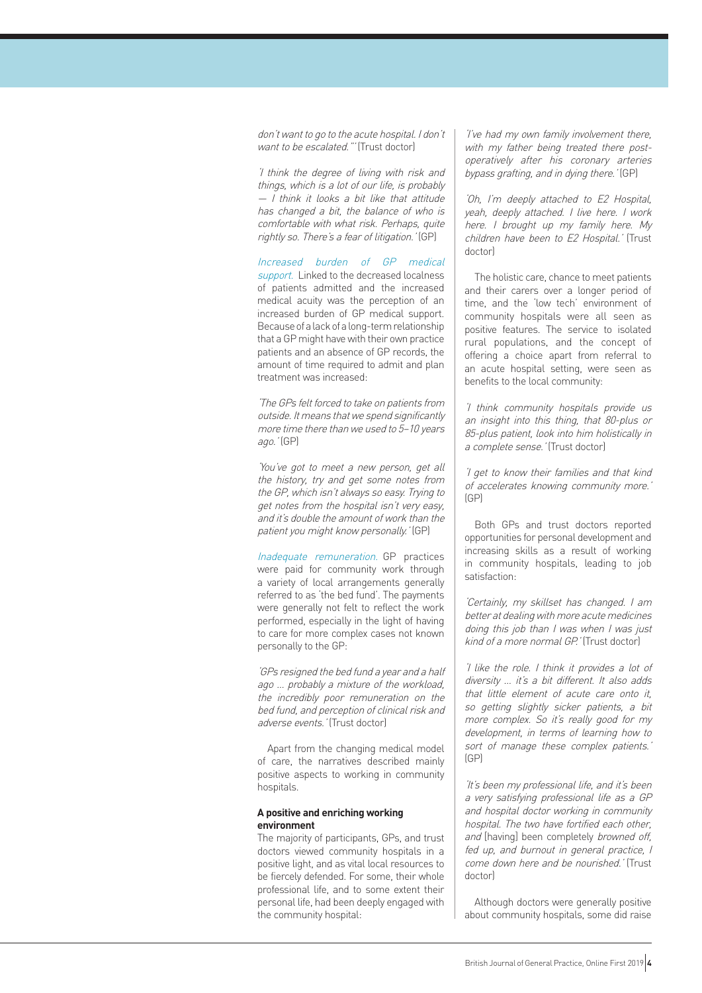don't want to go to the acute hospital. I don't want to be escalated."' (Trust doctor)

'I think the degree of living with risk and things, which is a lot of our life, is probably — I think it looks a bit like that attitude has changed a bit, the balance of who is comfortable with what risk. Perhaps, quite rightly so. There's a fear of litigation.' (GP)

Increased burden of GP medical support. Linked to the decreased localness of patients admitted and the increased medical acuity was the perception of an increased burden of GP medical support. Because of a lack of a long-term relationship that a GP might have with their own practice patients and an absence of GP records, the amount of time required to admit and plan treatment was increased:

'The GPs felt forced to take on patients from outside. It means that we spend significantly more time there than we used to 5–10 years ago.' (GP)

'You've got to meet a new person, get all the history, try and get some notes from the GP, which isn't always so easy. Trying to get notes from the hospital isn't very easy, and it's double the amount of work than the patient you might know personally.' (GP)

Inadequate remuneration. GP practices were paid for community work through a variety of local arrangements generally referred to as 'the bed fund'. The payments were generally not felt to reflect the work performed, especially in the light of having to care for more complex cases not known personally to the GP:

'GPs resigned the bed fund a year and a half ago … probably a mixture of the workload, the incredibly poor remuneration on the bed fund, and perception of clinical risk and adverse events.' (Trust doctor)

Apart from the changing medical model of care, the narratives described mainly positive aspects to working in community hospitals.

#### **A positive and enriching working environment**

The majority of participants, GPs, and trust doctors viewed community hospitals in a positive light, and as vital local resources to be fiercely defended. For some, their whole professional life, and to some extent their personal life, had been deeply engaged with the community hospital:

'I've had my own family involvement there, with my father being treated there postoperatively after his coronary arteries bypass grafting, and in dying there.' (GP)

'Oh, I'm deeply attached to E2 Hospital, yeah, deeply attached. I live here. I work here. I brought up my family here. My children have been to E2 Hospital.' (Trust doctor)

The holistic care, chance to meet patients and their carers over a longer period of time, and the 'low tech' environment of community hospitals were all seen as positive features. The service to isolated rural populations, and the concept of offering a choice apart from referral to an acute hospital setting, were seen as benefits to the local community:

'I think community hospitals provide us an insight into this thing, that 80-plus or 85-plus patient, look into him holistically in a complete sense.' (Trust doctor)

'I get to know their families and that kind of accelerates knowing community more.' (GP)

Both GPs and trust doctors reported opportunities for personal development and increasing skills as a result of working in community hospitals, leading to job satisfaction:

'Certainly, my skillset has changed. I am better at dealing with more acute medicines doing this job than I was when I was just kind of a more normal GP.' (Trust doctor)

'I like the role. I think it provides a lot of diversity … it's a bit different. It also adds that little element of acute care onto it, so getting slightly sicker patients, a bit more complex. So it's really good for my development, in terms of learning how to sort of manage these complex patients.' (GP)

'It's been my professional life, and it's been a very satisfying professional life as a GP and hospital doctor working in community hospital. The two have fortified each other, and [having] been completely browned off, fed up, and burnout in general practice, I come down here and be nourished.' (Trust doctor)

Although doctors were generally positive about community hospitals, some did raise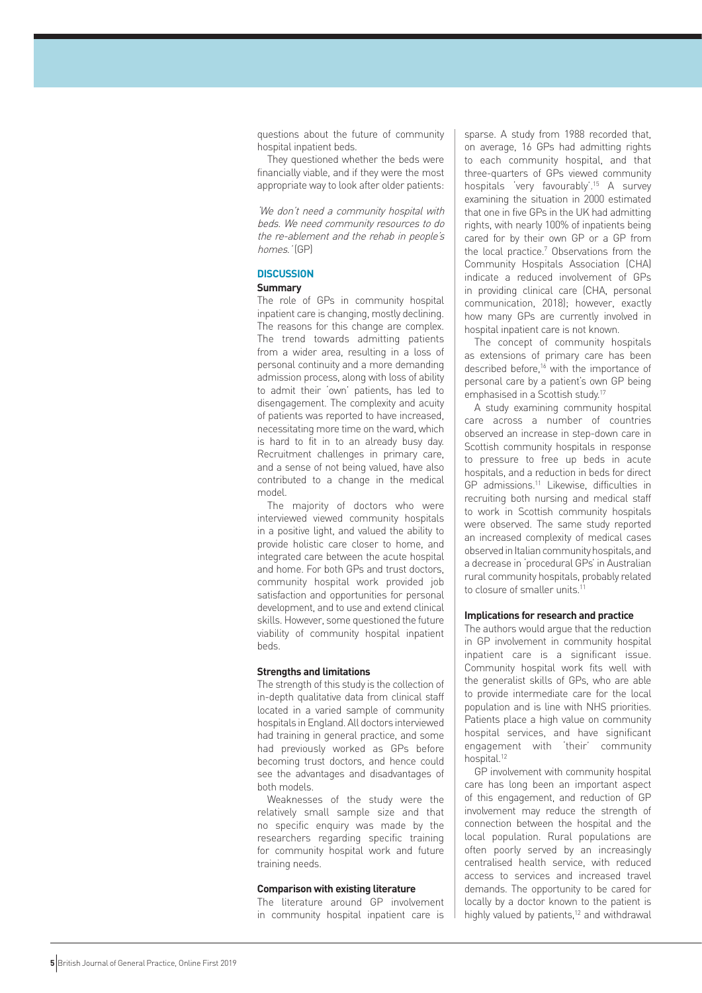questions about the future of community hospital inpatient beds.

They questioned whether the beds were financially viable, and if they were the most appropriate way to look after older patients:

'We don't need a community hospital with beds. We need community resources to do the re-ablement and the rehab in people's homes.' (GP)

# **DISCUSSION**

# **Summary**

The role of GPs in community hospital inpatient care is changing, mostly declining. The reasons for this change are complex. The trend towards admitting patients from a wider area, resulting in a loss of personal continuity and a more demanding admission process, along with loss of ability to admit their 'own' patients, has led to disengagement. The complexity and acuity of patients was reported to have increased, necessitating more time on the ward, which is hard to fit in to an already busy day. Recruitment challenges in primary care, and a sense of not being valued, have also contributed to a change in the medical model.

The majority of doctors who were interviewed viewed community hospitals in a positive light, and valued the ability to provide holistic care closer to home, and integrated care between the acute hospital and home. For both GPs and trust doctors, community hospital work provided job satisfaction and opportunities for personal development, and to use and extend clinical skills. However, some questioned the future viability of community hospital inpatient beds.

# **Strengths and limitations**

The strength of this study is the collection of in-depth qualitative data from clinical staff located in a varied sample of community hospitals in England. All doctors interviewed had training in general practice, and some had previously worked as GPs before becoming trust doctors, and hence could see the advantages and disadvantages of both models.

Weaknesses of the study were the relatively small sample size and that no specific enquiry was made by the researchers regarding specific training for community hospital work and future training needs.

# **Comparison with existing literature**

The literature around GP involvement in community hospital inpatient care is

sparse. A study from 1988 recorded that, on average, 16 GPs had admitting rights to each community hospital, and that three-quarters of GPs viewed community hospitals 'very favourably'.15 A survey examining the situation in 2000 estimated that one in five GPs in the UK had admitting rights, with nearly 100% of inpatients being cared for by their own GP or a GP from the local practice.<sup>7</sup> Observations from the Community Hospitals Association (CHA) indicate a reduced involvement of GPs in providing clinical care (CHA, personal communication, 2018); however, exactly how many GPs are currently involved in hospital inpatient care is not known.

The concept of community hospitals as extensions of primary care has been described before.<sup>16</sup> with the importance of personal care by a patient's own GP being emphasised in a Scottish study.<sup>17</sup>

A study examining community hospital care across a number of countries observed an increase in step-down care in Scottish community hospitals in response to pressure to free up beds in acute hospitals, and a reduction in beds for direct GP admissions.11 Likewise, difficulties in recruiting both nursing and medical staff to work in Scottish community hospitals were observed. The same study reported an increased complexity of medical cases observed in Italian community hospitals, and a decrease in 'procedural GPs' in Australian rural community hospitals, probably related to closure of smaller units.<sup>11</sup>

# **Implications for research and practice**

The authors would argue that the reduction in GP involvement in community hospital inpatient care is a significant issue. Community hospital work fits well with the generalist skills of GPs, who are able to provide intermediate care for the local population and is line with NHS priorities. Patients place a high value on community hospital services, and have significant engagement with 'their' community hospital.12

GP involvement with community hospital care has long been an important aspect of this engagement, and reduction of GP involvement may reduce the strength of connection between the hospital and the local population. Rural populations are often poorly served by an increasingly centralised health service, with reduced access to services and increased travel demands. The opportunity to be cared for locally by a doctor known to the patient is highly valued by patients,<sup>12</sup> and withdrawal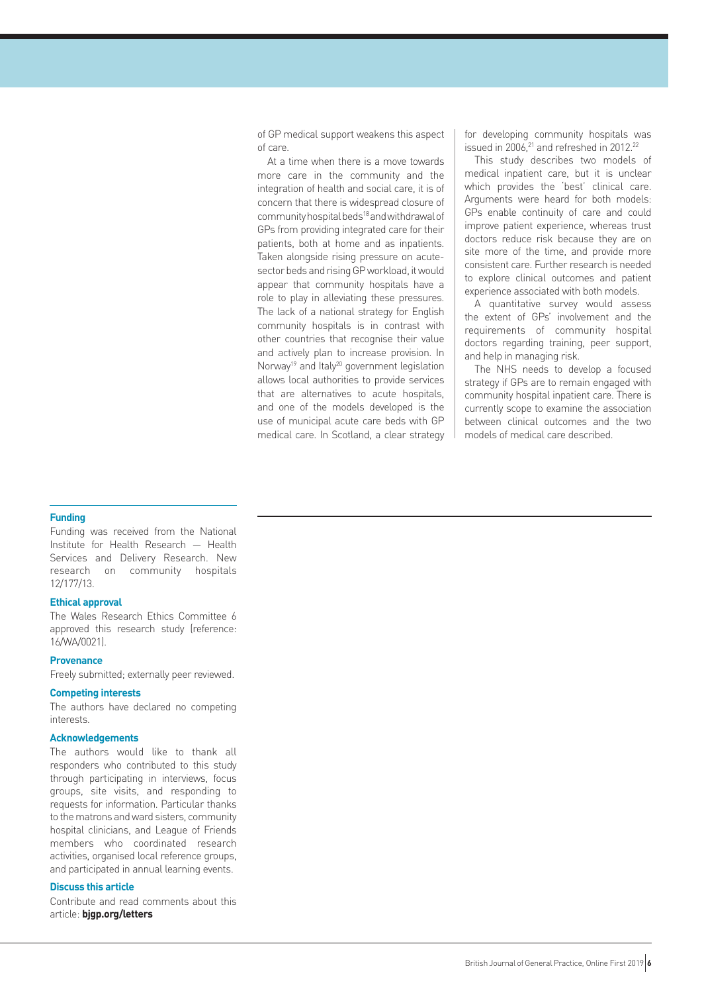of GP medical support weakens this aspect of care.

At a time when there is a move towards more care in the community and the integration of health and social care, it is of concern that there is widespread closure of community hospital beds18 and withdrawal of GPs from providing integrated care for their patients, both at home and as inpatients. Taken alongside rising pressure on acutesector beds and rising GP workload, it would appear that community hospitals have a role to play in alleviating these pressures. The lack of a national strategy for English community hospitals is in contrast with other countries that recognise their value and actively plan to increase provision. In Norway<sup>19</sup> and Italy<sup>20</sup> government legislation allows local authorities to provide services that are alternatives to acute hospitals, and one of the models developed is the use of municipal acute care beds with GP medical care. In Scotland, a clear strategy for developing community hospitals was issued in 2006,<sup>21</sup> and refreshed in 2012.<sup>22</sup>

This study describes two models of medical inpatient care, but it is unclear which provides the 'best' clinical care. Arguments were heard for both models: GPs enable continuity of care and could improve patient experience, whereas trust doctors reduce risk because they are on site more of the time, and provide more consistent care. Further research is needed to explore clinical outcomes and patient experience associated with both models.

A quantitative survey would assess the extent of GPs' involvement and the requirements of community hospital doctors regarding training, peer support, and help in managing risk.

The NHS needs to develop a focused strategy if GPs are to remain engaged with community hospital inpatient care. There is currently scope to examine the association between clinical outcomes and the two models of medical care described.

# **Funding**

Funding was received from the National Institute for Health Research — Health Services and Delivery Research. New research on community hospitals 12/177/13.

# **Ethical approval**

The Wales Research Ethics Committee 6 approved this research study (reference: 16/WA/0021).

#### **Provenance**

Freely submitted; externally peer reviewed.

#### **Competing interests**

The authors have declared no competing interests.

# **Acknowledgements**

The authors would like to thank all responders who contributed to this study through participating in interviews, focus groups, site visits, and responding to requests for information. Particular thanks to the matrons and ward sisters, community hospital clinicians, and League of Friends members who coordinated research activities, organised local reference groups, and participated in annual learning events.

# **Discuss this article**

Contribute and read comments about this article: **bjgp.org/letters**